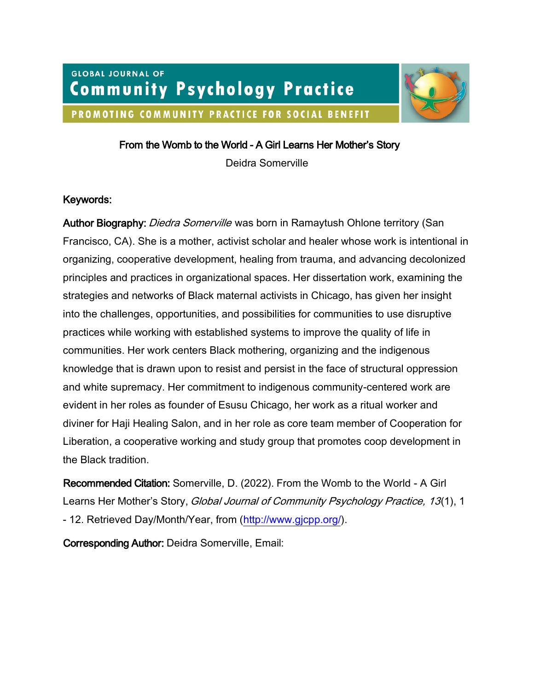# **GLOBAL JOURNAL OF Community Psychology Practice** PROMOTING COMMUNITY PRACTICE FOR SOCIAL BENEFIT



From the Womb to the World - A Girl Learns Her Mother's Story

Deidra Somerville

# Keywords:

Author Biography: *Diedra Somerville* was born in Ramaytush Ohlone territory (San Francisco, CA). She is a mother, activist scholar and healer whose work is intentional in organizing, cooperative development, healing from trauma, and advancing decolonized principles and practices in organizational spaces. Her dissertation work, examining the strategies and networks of Black maternal activists in Chicago, has given her insight into the challenges, opportunities, and possibilities for communities to use disruptive practices while working with established systems to improve the quality of life in communities. Her work centers Black mothering, organizing and the indigenous knowledge that is drawn upon to resist and persist in the face of structural oppression and white supremacy. Her commitment to indigenous community-centered work are evident in her roles as founder of Esusu Chicago, her work as a ritual worker and diviner for Haji Healing Salon, and in her role as core team member of Cooperation for Liberation, a cooperative working and study group that promotes coop development in the Black tradition.

Recommended Citation: Somerville, D. (2022). From the Womb to the World - A Girl Learns Her Mother's Story, Global Journal of Community Psychology Practice, 13(1), 1 - 12. Retrieved Day/Month/Year, from [\(http://www.gjcpp.org/\)](http://www.gjcpp.org/).

Corresponding Author: Deidra Somerville, Email: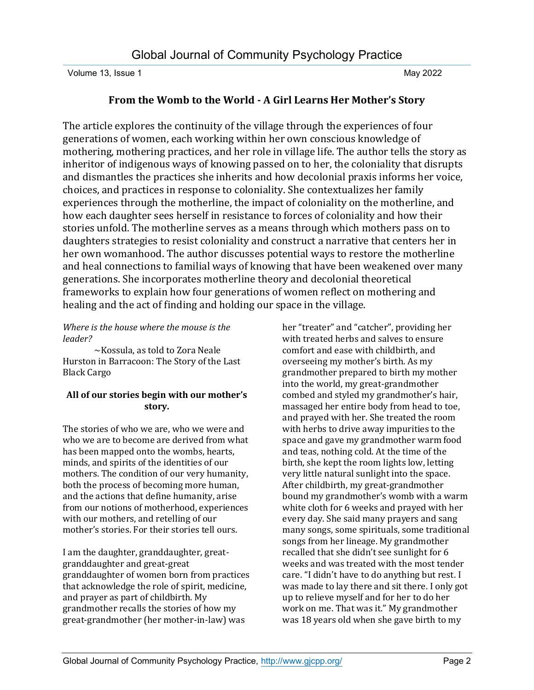# **From the Womb to the World - A Girl Learns Her Mother's Story**

The article explores the continuity of the village through the experiences of four generations of women, each working within her own conscious knowledge of mothering, mothering practices, and her role in village life. The author tells the story as inheritor of indigenous ways of knowing passed on to her, the coloniality that disrupts and dismantles the practices she inherits and how decolonial praxis informs her voice, choices, and practices in response to coloniality. She contextualizes her family experiences through the motherline, the impact of coloniality on the motherline, and how each daughter sees herself in resistance to forces of coloniality and how their stories unfold. The motherline serves as a means through which mothers pass on to daughters strategies to resist coloniality and construct a narrative that centers her in her own womanhood. The author discusses potential ways to restore the motherline and heal connections to familial ways of knowing that have been weakened over many generations. She incorporates motherline theory and decolonial theoretical frameworks to explain how four generations of women reflect on mothering and healing and the act of finding and holding our space in the village.

## *Where is the house where the mouse is the leader?*

~Kossula, as told to Zora Neale Hurston in Barracoon: The Story of the Last Black Cargo

# **All of our stories begin with our mother's story.**

The stories of who we are, who we were and who we are to become are derived from what has been mapped onto the wombs, hearts, minds, and spirits of the identities of our mothers. The condition of our very humanity, both the process of becoming more human, and the actions that define humanity, arise from our notions of motherhood, experiences with our mothers, and retelling of our mother's stories. For their stories tell ours.

I am the daughter, granddaughter, greatgranddaughter and great-great granddaughter of women born from practices that acknowledge the role of spirit, medicine, and prayer as part of childbirth. My grandmother recalls the stories of how my great-grandmother (her mother-in-law) was

her "treater" and "catcher", providing her with treated herbs and salves to ensure comfort and ease with childbirth, and overseeing my mother's birth. As my grandmother prepared to birth my mother into the world, my great-grandmother combed and styled my grandmother's hair, massaged her entire body from head to toe, and prayed with her. She treated the room with herbs to drive away impurities to the space and gave my grandmother warm food and teas, nothing cold. At the time of the birth, she kept the room lights low, letting very little natural sunlight into the space. After childbirth, my great-grandmother bound my grandmother's womb with a warm white cloth for 6 weeks and prayed with her every day. She said many prayers and sang many songs, some spirituals, some traditional songs from her lineage. My grandmother recalled that she didn't see sunlight for 6 weeks and was treated with the most tender care. "I didn't have to do anything but rest. I was made to lay there and sit there. I only got up to relieve myself and for her to do her work on me. That was it." My grandmother was 18 years old when she gave birth to my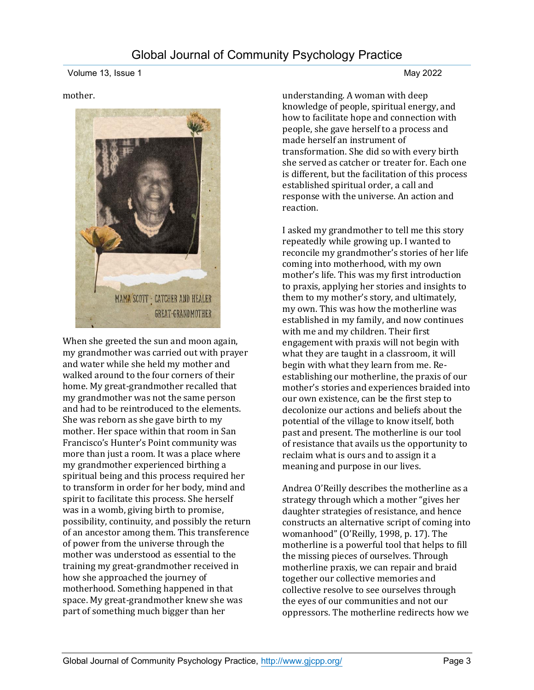#### mother.



When she greeted the sun and moon again, my grandmother was carried out with prayer and water while she held my mother and walked around to the four corners of their home. My great-grandmother recalled that my grandmother was not the same person and had to be reintroduced to the elements. She was reborn as she gave birth to my mother. Her space within that room in San Francisco's Hunter's Point community was more than just a room. It was a place where my grandmother experienced birthing a spiritual being and this process required her to transform in order for her body, mind and spirit to facilitate this process. She herself was in a womb, giving birth to promise, possibility, continuity, and possibly the return of an ancestor among them. This transference of power from the universe through the mother was understood as essential to the training my great-grandmother received in how she approached the journey of motherhood. Something happened in that space. My great-grandmother knew she was part of something much bigger than her

understanding. A woman with deep knowledge of people, spiritual energy, and how to facilitate hope and connection with people, she gave herself to a process and made herself an instrument of transformation. She did so with every birth she served as catcher or treater for. Each one is different, but the facilitation of this process established spiritual order, a call and response with the universe. An action and reaction.

I asked my grandmother to tell me this story repeatedly while growing up. I wanted to reconcile my grandmother's stories of her life coming into motherhood, with my own mother's life. This was my first introduction to praxis, applying her stories and insights to them to my mother's story, and ultimately, my own. This was how the motherline was established in my family, and now continues with me and my children. Their first engagement with praxis will not begin with what they are taught in a classroom, it will begin with what they learn from me. Reestablishing our motherline, the praxis of our mother's stories and experiences braided into our own existence, can be the first step to decolonize our actions and beliefs about the potential of the village to know itself, both past and present. The motherline is our tool of resistance that avails us the opportunity to reclaim what is ours and to assign it a meaning and purpose in our lives.

Andrea O'Reilly describes the motherline as a strategy through which a mother "gives her daughter strategies of resistance, and hence constructs an alternative script of coming into womanhood" (O'Reilly, 1998, p. 17). The motherline is a powerful tool that helps to fill the missing pieces of ourselves. Through motherline praxis, we can repair and braid together our collective memories and collective resolve to see ourselves through the eyes of our communities and not our oppressors. The motherline redirects how we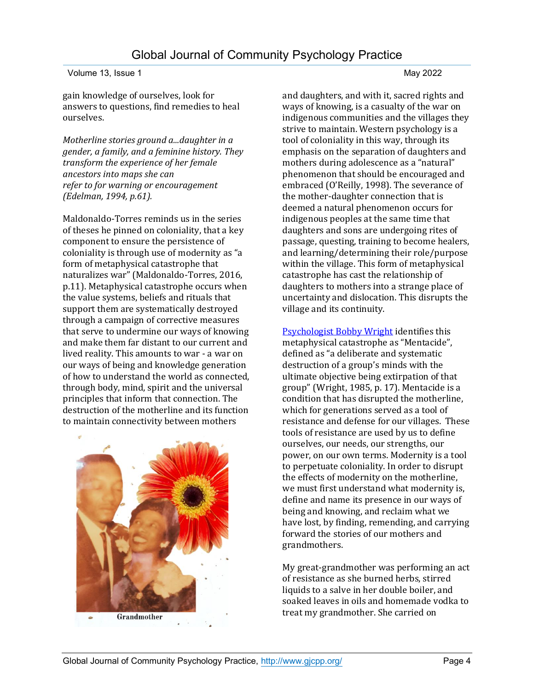gain knowledge of ourselves, look for answers to questions, find remedies to heal ourselves.

*Motherline stories ground a...daughter in a gender, a family, and a feminine history. They transform the experience of her female ancestors into maps she can refer to for warning or encouragement (Edelman, 1994, p.61).*

Maldonaldo-Torres reminds us in the series of theses he pinned on coloniality, that a key component to ensure the persistence of coloniality is through use of modernity as "a form of metaphysical catastrophe that naturalizes war" (Maldonaldo-Torres, 2016, p.11). Metaphysical catastrophe occurs when the value systems, beliefs and rituals that support them are systematically destroyed through a campaign of corrective measures that serve to undermine our ways of knowing and make them far distant to our current and lived reality. This amounts to war - a war on our ways of being and knowledge generation of how to understand the world as connected, through body, mind, spirit and the universal principles that inform that connection. The destruction of the motherline and its function to maintain connectivity between mothers



and daughters, and with it, sacred rights and ways of knowing, is a casualty of the war on indigenous communities and the villages they strive to maintain. Western psychology is a tool of coloniality in this way, through its emphasis on the separation of daughters and mothers during adolescence as a "natural" phenomenon that should be encouraged and embraced (O'Reilly, 1998). The severance of the mother-daughter connection that is deemed a natural phenomenon occurs for indigenous peoples at the same time that daughters and sons are undergoing rites of passage, questing, training to become healers, and learning/determining their role/purpose within the village. This form of metaphysical catastrophe has cast the relationship of daughters to mothers into a strange place of uncertainty and dislocation. This disrupts the village and its continuity.

[Psychologist Bobby Wright](https://www.youtube.com/watch?v=HeHSWBvTByQ) identifies this metaphysical catastrophe as "Mentacide", defined as "a deliberate and systematic destruction of a group's minds with the ultimate objective being extirpation of that group" (Wright, 1985, p. 17). Mentacide is a condition that has disrupted the motherline, which for generations served as a tool of resistance and defense for our villages. These tools of resistance are used by us to define ourselves, our needs, our strengths, our power, on our own terms. Modernity is a tool to perpetuate coloniality. In order to disrupt the effects of modernity on the motherline, we must first understand what modernity is, define and name its presence in our ways of being and knowing, and reclaim what we have lost, by finding, remending, and carrying forward the stories of our mothers and grandmothers.

My great-grandmother was performing an act of resistance as she burned herbs, stirred liquids to a salve in her double boiler, and soaked leaves in oils and homemade vodka to treat my grandmother. She carried on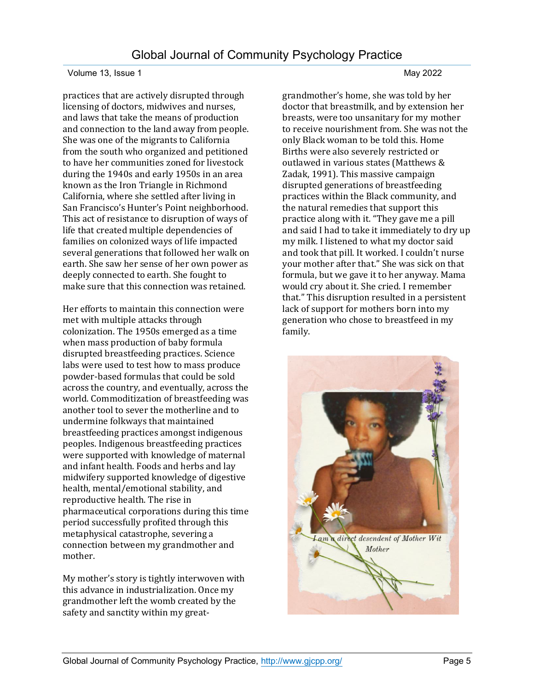practices that are actively disrupted through licensing of doctors, midwives and nurses, and laws that take the means of production and connection to the land away from people. She was one of the migrants to California from the south who organized and petitioned to have her communities zoned for livestock during the 1940s and early 1950s in an area known as the Iron Triangle in Richmond California, where she settled after living in San Francisco's Hunter's Point neighborhood. This act of resistance to disruption of ways of life that created multiple dependencies of families on colonized ways of life impacted several generations that followed her walk on earth. She saw her sense of her own power as deeply connected to earth. She fought to make sure that this connection was retained.

Her efforts to maintain this connection were met with multiple attacks through colonization. The 1950s emerged as a time when mass production of baby formula disrupted breastfeeding practices. Science labs were used to test how to mass produce powder-based formulas that could be sold across the country, and eventually, across the world. Commoditization of breastfeeding was another tool to sever the motherline and to undermine folkways that maintained breastfeeding practices amongst indigenous peoples. Indigenous breastfeeding practices were supported with knowledge of maternal and infant health. Foods and herbs and lay midwifery supported knowledge of digestive health, mental/emotional stability, and reproductive health. The rise in pharmaceutical corporations during this time period successfully profited through this metaphysical catastrophe, severing a connection between my grandmother and mother.

My mother's story is tightly interwoven with this advance in industrialization. Once my grandmother left the womb created by the safety and sanctity within my greatgrandmother's home, she was told by her doctor that breastmilk, and by extension her breasts, were too unsanitary for my mother to receive nourishment from. She was not the only Black woman to be told this. Home Births were also severely restricted or outlawed in various states (Matthews & Zadak, 1991). This massive campaign disrupted generations of breastfeeding practices within the Black community, and the natural remedies that support this practice along with it. "They gave me a pill and said I had to take it immediately to dry up my milk. I listened to what my doctor said and took that pill. It worked. I couldn't nurse your mother after that." She was sick on that formula, but we gave it to her anyway. Mama would cry about it. She cried. I remember that." This disruption resulted in a persistent lack of support for mothers born into my generation who chose to breastfeed in my family.

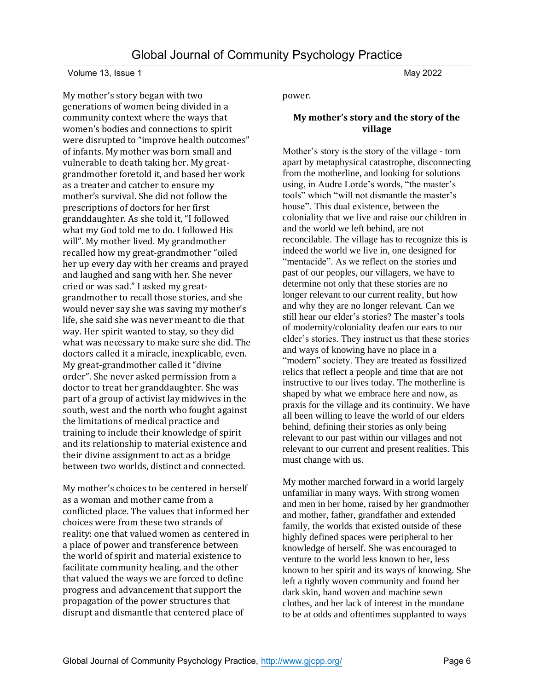My mother's story began with two generations of women being divided in a community context where the ways that women's bodies and connections to spirit were disrupted to "improve health outcomes" of infants. My mother was born small and vulnerable to death taking her. My greatgrandmother foretold it, and based her work as a treater and catcher to ensure my mother's survival. She did not follow the prescriptions of doctors for her first granddaughter. As she told it, "I followed what my God told me to do. I followed His will". My mother lived. My grandmother recalled how my great-grandmother "oiled her up every day with her creams and prayed and laughed and sang with her. She never cried or was sad." I asked my greatgrandmother to recall those stories, and she would never say she was saving my mother's life, she said she was never meant to die that way. Her spirit wanted to stay, so they did what was necessary to make sure she did. The doctors called it a miracle, inexplicable, even. My great-grandmother called it "divine order". She never asked permission from a doctor to treat her granddaughter. She was part of a group of activist lay midwives in the south, west and the north who fought against the limitations of medical practice and training to include their knowledge of spirit and its relationship to material existence and their divine assignment to act as a bridge between two worlds, distinct and connected.

My mother's choices to be centered in herself as a woman and mother came from a conflicted place. The values that informed her choices were from these two strands of reality: one that valued women as centered in a place of power and transference between the world of spirit and material existence to facilitate community healing, and the other that valued the ways we are forced to define progress and advancement that support the propagation of the power structures that disrupt and dismantle that centered place of

power.

# **My mother's story and the story of the village**

Mother's story is the story of the village - torn apart by metaphysical catastrophe, disconnecting from the motherline, and looking for solutions using, in Audre Lorde's words, "the master's tools" which "will not dismantle the master's house". This dual existence, between the coloniality that we live and raise our children in and the world we left behind, are not reconcilable. The village has to recognize this is indeed the world we live in, one designed for "mentacide". As we reflect on the stories and past of our peoples, our villagers, we have to determine not only that these stories are no longer relevant to our current reality, but how and why they are no longer relevant. Can we still hear our elder's stories? The master's tools of modernity/coloniality deafen our ears to our elder's stories. They instruct us that these stories and ways of knowing have no place in a "modern" society. They are treated as fossilized relics that reflect a people and time that are not instructive to our lives today. The motherline is shaped by what we embrace here and now, as praxis for the village and its continuity. We have all been willing to leave the world of our elders behind, defining their stories as only being relevant to our past within our villages and not relevant to our current and present realities. This must change with us.

My mother marched forward in a world largely unfamiliar in many ways. With strong women and men in her home, raised by her grandmother and mother, father, grandfather and extended family, the worlds that existed outside of these highly defined spaces were peripheral to her knowledge of herself. She was encouraged to venture to the world less known to her, less known to her spirit and its ways of knowing. She left a tightly woven community and found her dark skin, hand woven and machine sewn clothes, and her lack of interest in the mundane to be at odds and oftentimes supplanted to ways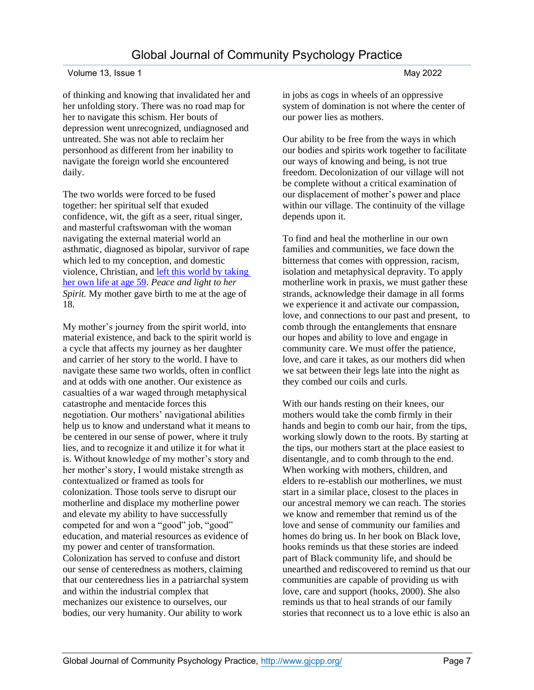of thinking and knowing that invalidated her and her unfolding story. There was no road map for her to navigate this schism. Her bouts of depression went unrecognized, undiagnosed and untreated. She was not able to reclaim her personhood as different from her inability to navigate the foreign world she encountered daily.

The two worlds were forced to be fused together: her spiritual self that exuded confidence, wit, the gift as a seer, ritual singer, and masterful craftswoman with the woman navigating the external material world an asthmatic, diagnosed as bipolar, survivor of rape which led to my conception, and domestic violence, Christian, and [left this world by taking](https://canyoumakeitfromscratch.blog/2019/02/02/happy-birthday-ma/)  [her own life at age 59.](https://canyoumakeitfromscratch.blog/2019/02/02/happy-birthday-ma/) *Peace and light to her Spirit.* My mother gave birth to me at the age of 18.

My mother's journey from the spirit world, into material existence, and back to the spirit world is a cycle that affects my journey as her daughter and carrier of her story to the world. I have to navigate these same two worlds, often in conflict and at odds with one another. Our existence as casualties of a war waged through metaphysical catastrophe and mentacide forces this negotiation. Our mothers' navigational abilities help us to know and understand what it means to be centered in our sense of power, where it truly lies, and to recognize it and utilize it for what it is. Without knowledge of my mother's story and her mother's story, I would mistake strength as contextualized or framed as tools for colonization. Those tools serve to disrupt our motherline and displace my motherline power and elevate my ability to have successfully competed for and won a "good" job, "good" education, and material resources as evidence of my power and center of transformation. Colonization has served to confuse and distort our sense of centeredness as mothers, claiming that our centeredness lies in a patriarchal system and within the industrial complex that mechanizes our existence to ourselves, our bodies, our very humanity. Our ability to work

in jobs as cogs in wheels of an oppressive system of domination is not where the center of our power lies as mothers.

Our ability to be free from the ways in which our bodies and spirits work together to facilitate our ways of knowing and being, is not true freedom. Decolonization of our village will not be complete without a critical examination of our displacement of mother's power and place within our village. The continuity of the village depends upon it.

To find and heal the motherline in our own families and communities, we face down the bitterness that comes with oppression, racism, isolation and metaphysical depravity. To apply motherline work in praxis, we must gather these strands, acknowledge their damage in all forms we experience it and activate our compassion, love, and connections to our past and present, to comb through the entanglements that ensnare our hopes and ability to love and engage in community care. We must offer the patience, love, and care it takes, as our mothers did when we sat between their legs late into the night as they combed our coils and curls.

With our hands resting on their knees, our mothers would take the comb firmly in their hands and begin to comb our hair, from the tips, working slowly down to the roots. By starting at the tips, our mothers start at the place easiest to disentangle, and to comb through to the end. When working with mothers, children, and elders to re-establish our motherlines, we must start in a similar place, closest to the places in our ancestral memory we can reach. The stories we know and remember that remind us of the love and sense of community our families and homes do bring us. In her book on Black love, hooks reminds us that these stories are indeed part of Black community life, and should be unearthed and rediscovered to remind us that our communities are capable of providing us with love, care and support (hooks, 2000). She also reminds us that to heal strands of our family stories that reconnect us to a love ethic is also an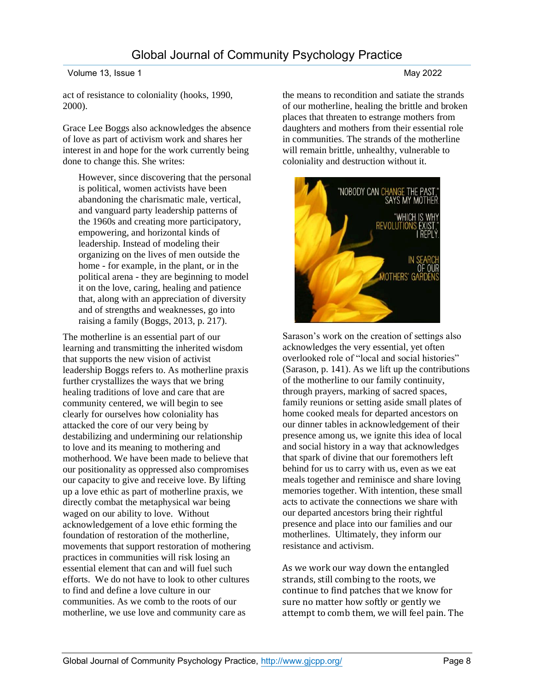act of resistance to coloniality (hooks, 1990, 2000).

Grace Lee Boggs also acknowledges the absence of love as part of activism work and shares her interest in and hope for the work currently being done to change this. She writes:

However, since discovering that the personal is political, women activists have been abandoning the charismatic male, vertical, and vanguard party leadership patterns of the 1960s and creating more participatory, empowering, and horizontal kinds of leadership. Instead of modeling their organizing on the lives of men outside the home - for example, in the plant, or in the political arena - they are beginning to model it on the love, caring, healing and patience that, along with an appreciation of diversity and of strengths and weaknesses, go into raising a family (Boggs, 2013, p. 217).

The motherline is an essential part of our learning and transmitting the inherited wisdom that supports the new vision of activist leadership Boggs refers to. As motherline praxis further crystallizes the ways that we bring healing traditions of love and care that are community centered, we will begin to see clearly for ourselves how coloniality has attacked the core of our very being by destabilizing and undermining our relationship to love and its meaning to mothering and motherhood. We have been made to believe that our positionality as oppressed also compromises our capacity to give and receive love. By lifting up a love ethic as part of motherline praxis, we directly combat the metaphysical war being waged on our ability to love. Without acknowledgement of a love ethic forming the foundation of restoration of the motherline, movements that support restoration of mothering practices in communities will risk losing an essential element that can and will fuel such efforts. We do not have to look to other cultures to find and define a love culture in our communities. As we comb to the roots of our motherline, we use love and community care as

the means to recondition and satiate the strands of our motherline, healing the brittle and broken places that threaten to estrange mothers from daughters and mothers from their essential role in communities. The strands of the motherline will remain brittle, unhealthy, vulnerable to coloniality and destruction without it.



Sarason's work on the creation of settings also acknowledges the very essential, yet often overlooked role of "local and social histories" (Sarason, p. 141). As we lift up the contributions of the motherline to our family continuity, through prayers, marking of sacred spaces, family reunions or setting aside small plates of home cooked meals for departed ancestors on our dinner tables in acknowledgement of their presence among us, we ignite this idea of local and social history in a way that acknowledges that spark of divine that our foremothers left behind for us to carry with us, even as we eat meals together and reminisce and share loving memories together. With intention, these small acts to activate the connections we share with our departed ancestors bring their rightful presence and place into our families and our motherlines. Ultimately, they inform our resistance and activism.

As we work our way down the entangled strands, still combing to the roots, we continue to find patches that we know for sure no matter how softly or gently we attempt to comb them, we will feel pain. The

# Volume 13, Issue 1 May 2022